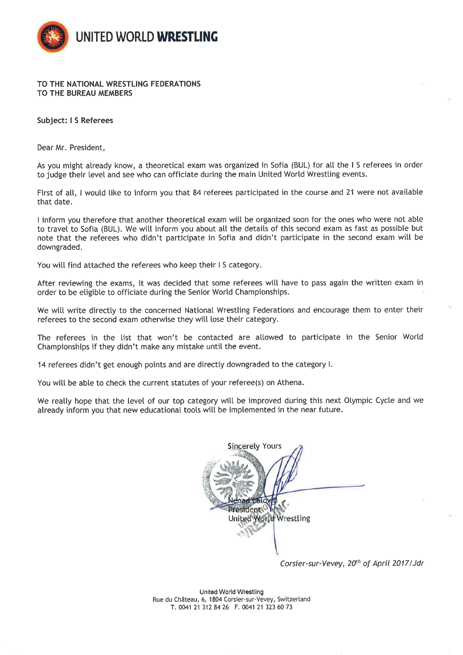

## TO THE NATIONAL WRESTLING FEDERATIONS TO THE BUREAU MEMBERS

## Subject: I S Referees

Dear Mr. President,

As you might already know, a theoretical exam was organized in Sofia (BUL) for all the IS referees in order to judge their level and see who can officiate during the main United World Wrestling events.

First of all, I would like to inform you that 84 referees participated in the course and 21 were not available that date.

I inform you therefore that another theoretical exam will be organized soon for the ones who were not able to travel to Sofia (BUL). We will inform you about all the details of this second exam as fast as possible but note that the referees who didn't participate in Sofia and didn't participate in the second exam will be downgraded.

You will find attached the referees who keep their IS category.

After reviewing the exams, it was decided that some referees will have to pass again the written exam in order to be eligible to officiate during the Senior World Championships.

We will write directly to the concerned National Wrestling Federations and encourage them to enter their referees to the second exam otherwise they will lose their category.

The referees in the list that won't be contacted are allowed to participate in the Senior World Championships if they didn't make any mistake until the event.

14 referees didn't get enough points and are directly downgraded to the category I.

You will be able to check the current statutes of your referee(s) on Athena.

We really hope that the level of our top category will be improved during this next Olympic Cycle and we already inform you that new educational tools will be implemented in the near future.



Corsier-sur-Vevey, 20th of April 2017/Jdr

**United World Wrestling** Rue du Château, 6, 1804 Corsier-sur-Vevey, Switzerland T. 0041 21 312 84 26 F. 0041 21 323 60 73